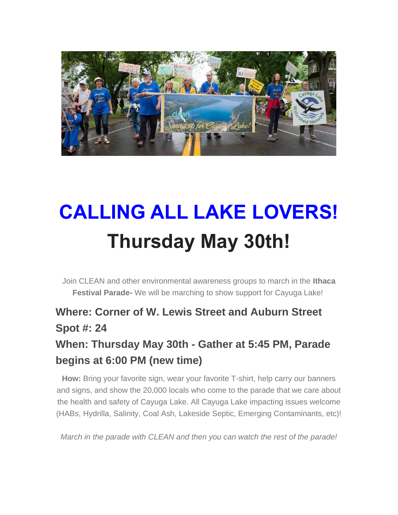

## **CALLING ALL LAKE LOVERS! Thursday May 30th!**

Join CLEAN and other environmental awareness groups to march in the **Ithaca Festival Parade-** We will be marching to show support for Cayuga Lake!

### **Where: Corner of W. Lewis Street and Auburn Street Spot #: 24**

### **When: Thursday May 30th - Gather at 5:45 PM, Parade begins at 6:00 PM (new time)**

**How:** Bring your favorite sign, wear your favorite T-shirt, help carry our banners and signs, and show the 20,000 locals who come to the parade that we care about the health and safety of Cayuga Lake. All Cayuga Lake impacting issues welcome (HABs, Hydrilla, Salinity, Coal Ash, Lakeside Septic, Emerging Contaminants, etc)!

*March in the parade with CLEAN and then you can watch the rest of the parade!*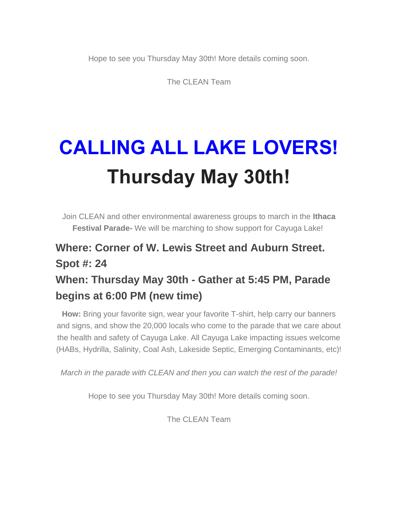Hope to see you Thursday May 30th! More details coming soon.

The CLEAN Team

# **CALLING ALL LAKE LOVERS! Thursday May 30th!**

Join CLEAN and other environmental awareness groups to march in the **Ithaca Festival Parade-** We will be marching to show support for Cayuga Lake!

### **Where: Corner of W. Lewis Street and Auburn Street. Spot #: 24 When: Thursday May 30th - Gather at 5:45 PM, Parade**

#### **begins at 6:00 PM (new time)**

**How:** Bring your favorite sign, wear your favorite T-shirt, help carry our banners and signs, and show the 20,000 locals who come to the parade that we care about the health and safety of Cayuga Lake. All Cayuga Lake impacting issues welcome (HABs, Hydrilla, Salinity, Coal Ash, Lakeside Septic, Emerging Contaminants, etc)!

*March in the parade with CLEAN and then you can watch the rest of the parade!*

Hope to see you Thursday May 30th! More details coming soon.

The CLEAN Team